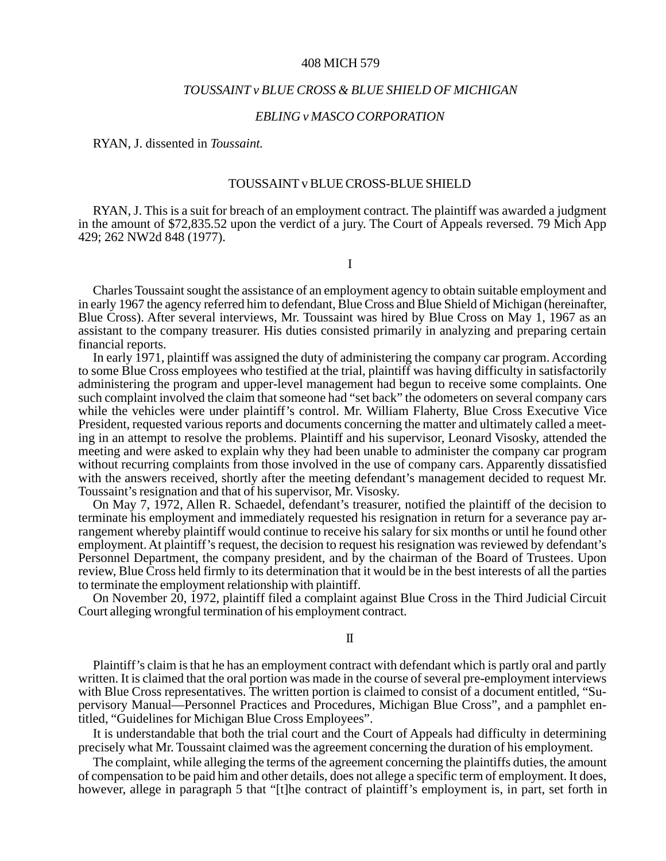#### 408 MICH 579

## *TOUSSAINT v BLUE CROSS & BLUE SHIELD OF MICHIGAN*

## *EBLING v MASCO CORPORATION*

RYAN, J. dissented in *Toussaint.*

#### TOUSSAINT v BLUE CROSS-BLUE SHIELD

RYAN, J. This is a suit for breach of an employment contract. The plaintiff was awarded a judgment in the amount of \$72,835.52 upon the verdict of a jury. The Court of Appeals reversed. 79 Mich App 429; 262 NW2d 848 (1977).

I

Charles Toussaint sought the assistance of an employment agency to obtain suitable employment and in early 1967 the agency referred him to defendant, Blue Cross and Blue Shield of Michigan (hereinafter, Blue Cross). After several interviews, Mr. Toussaint was hired by Blue Cross on May 1, 1967 as an assistant to the company treasurer. His duties consisted primarily in analyzing and preparing certain financial reports.

In early 1971, plaintiff was assigned the duty of administering the company car program. According to some Blue Cross employees who testified at the trial, plaintiff was having difficulty in satisfactorily administering the program and upper-level management had begun to receive some complaints. One such complaint involved the claim that someone had "set back" the odometers on several company cars while the vehicles were under plaintiff's control. Mr. William Flaherty, Blue Cross Executive Vice President, requested various reports and documents concerning the matter and ultimately called a meeting in an attempt to resolve the problems. Plaintiff and his supervisor, Leonard Visosky, attended the meeting and were asked to explain why they had been unable to administer the company car program without recurring complaints from those involved in the use of company cars. Apparently dissatisfied with the answers received, shortly after the meeting defendant's management decided to request Mr. Toussaint's resignation and that of his supervisor, Mr. Visosky.

On May 7, 1972, Allen R. Schaedel, defendant's treasurer, notified the plaintiff of the decision to terminate his employment and immediately requested his resignation in return for a severance pay arrangement whereby plaintiff would continue to receive his salary for six months or until he found other employment. At plaintiff's request, the decision to request his resignation was reviewed by defendant's Personnel Department, the company president, and by the chairman of the Board of Trustees. Upon review, Blue Cross held firmly to its determination that it would be in the best interests of all the parties to terminate the employment relationship with plaintiff.

On November 20, 1972, plaintiff filed a complaint against Blue Cross in the Third Judicial Circuit Court alleging wrongful termination of his employment contract.

II

Plaintiff's claim is that he has an employment contract with defendant which is partly oral and partly written. It is claimed that the oral portion was made in the course of several pre-employment interviews with Blue Cross representatives. The written portion is claimed to consist of a document entitled, "Supervisory Manual—Personnel Practices and Procedures, Michigan Blue Cross", and a pamphlet entitled, "Guidelines for Michigan Blue Cross Employees".

It is understandable that both the trial court and the Court of Appeals had difficulty in determining precisely what Mr. Toussaint claimed was the agreement concerning the duration of his employment.

The complaint, while alleging the terms of the agreement concerning the plaintiffs duties, the amount of compensation to be paid him and other details, does not allege a specific term of employment. It does, however, allege in paragraph 5 that "[t]he contract of plaintiff's employment is, in part, set forth in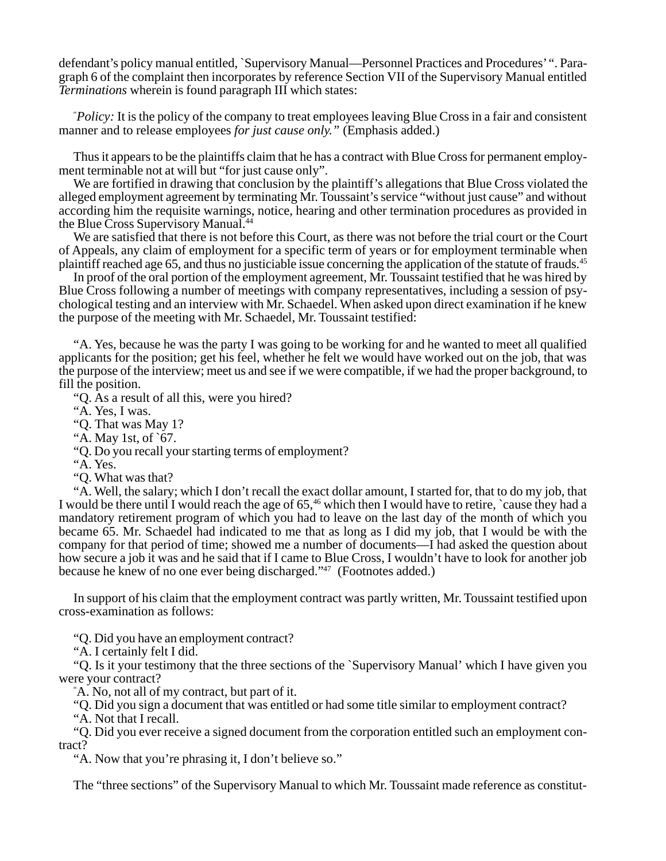defendant's policy manual entitled, `Supervisory Manual—Personnel Practices and Procedures' ". Paragraph 6 of the complaint then incorporates by reference Section VII of the Supervisory Manual entitled *Terminations* wherein is found paragraph III which states:

" *Policy:* It is the policy of the company to treat employees leaving Blue Cross in a fair and consistent manner and to release employees *for just cause only."* (Emphasis added.)

Thus it appears to be the plaintiffs claim that he has a contract with Blue Cross for permanent employment terminable not at will but "for just cause only".

We are fortified in drawing that conclusion by the plaintiff's allegations that Blue Cross violated the alleged employment agreement by terminating Mr. Toussaint's service "without just cause" and without according him the requisite warnings, notice, hearing and other termination procedures as provided in the Blue Cross Supervisory Manual.<sup>44</sup>

We are satisfied that there is not before this Court, as there was not before the trial court or the Court of Appeals, any claim of employment for a specific term of years or for employment terminable when plaintiff reached age 65, and thus no justiciable issue concerning the application of the statute of frauds.45

In proof of the oral portion of the employment agreement, Mr. Toussaint testified that he was hired by Blue Cross following a number of meetings with company representatives, including a session of psychological testing and an interview with Mr. Schaedel. When asked upon direct examination if he knew the purpose of the meeting with Mr. Schaedel, Mr. Toussaint testified:

"A. Yes, because he was the party I was going to be working for and he wanted to meet all qualified applicants for the position; get his feel, whether he felt we would have worked out on the job, that was the purpose of the interview; meet us and see if we were compatible, if we had the proper background, to fill the position.

"Q. As a result of all this, were you hired?

"A. Yes, I was.

"Q. That was May 1?

"A. May 1st, of `67.

"Q. Do you recall your starting terms of employment?

"A. Yes.

"Q. What was that?

"A. Well, the salary; which I don't recall the exact dollar amount, I started for, that to do my job, that I would be there until I would reach the age of 65,<sup>46</sup> which then I would have to retire, `cause they had a mandatory retirement program of which you had to leave on the last day of the month of which you became 65. Mr. Schaedel had indicated to me that as long as I did my job, that I would be with the company for that period of time; showed me a number of documents—I had asked the question about how secure a job it was and he said that if I came to Blue Cross, I wouldn't have to look for another job because he knew of no one ever being discharged."47 (Footnotes added.)

In support of his claim that the employment contract was partly written, Mr. Toussaint testified upon cross-examination as follows:

"Q. Did you have an employment contract?

"A. I certainly felt I did.

"Q. Is it your testimony that the three sections of the `Supervisory Manual' which I have given you were your contract?

" A. No, not all of my contract, but part of it.

"Q. Did you sign a document that was entitled or had some title similar to employment contract?

"A. Not that I recall.

"Q. Did you ever receive a signed document from the corporation entitled such an employment contract?

"A. Now that you're phrasing it, I don't believe so."

The "three sections" of the Supervisory Manual to which Mr. Toussaint made reference as constitut-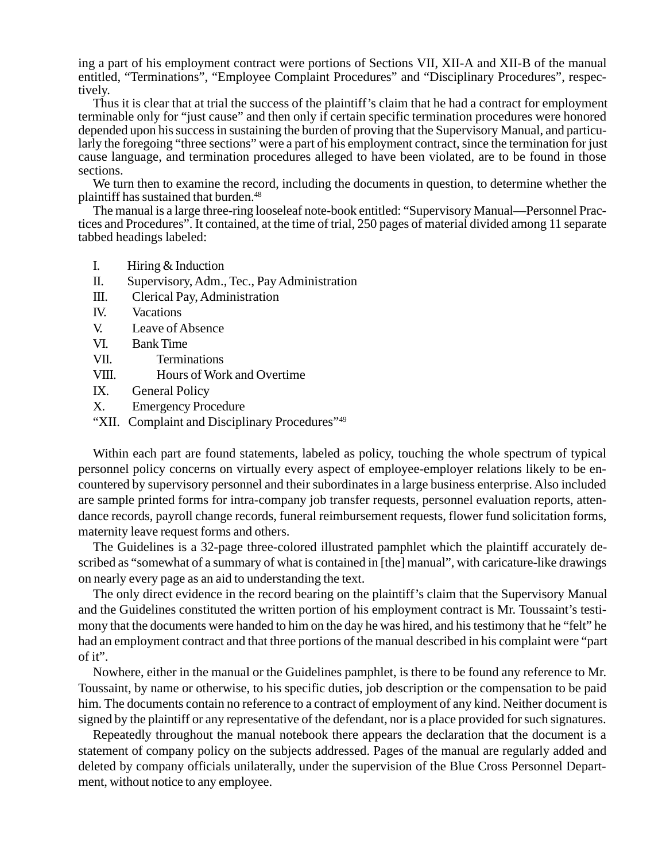ing a part of his employment contract were portions of Sections VII, XII-A and XII-B of the manual entitled, "Terminations", "Employee Complaint Procedures" and "Disciplinary Procedures", respectively.

Thus it is clear that at trial the success of the plaintiff's claim that he had a contract for employment terminable only for "just cause" and then only if certain specific termination procedures were honored depended upon his success in sustaining the burden of proving that the Supervisory Manual, and particularly the foregoing "three sections" were a part of his employment contract, since the termination for just cause language, and termination procedures alleged to have been violated, are to be found in those sections.

We turn then to examine the record, including the documents in question, to determine whether the plaintiff has sustained that burden.<sup>48</sup>

The manual is a large three-ring looseleaf note-book entitled: "Supervisory Manual—Personnel Practices and Procedures". It contained, at the time of trial, 250 pages of material divided among 11 separate tabbed headings labeled:

- I. Hiring & Induction
- II. Supervisory, Adm., Tec., Pay Administration
- III. Clerical Pay, Administration
- IV. Vacations
- V. Leave of Absence
- VI. Bank Time
- VII. Terminations
- VIII. Hours of Work and Overtime
- IX. General Policy
- X. Emergency Procedure
- "XII. Complaint and Disciplinary Procedures"<sup>49</sup>

Within each part are found statements, labeled as policy, touching the whole spectrum of typical personnel policy concerns on virtually every aspect of employee-employer relations likely to be encountered by supervisory personnel and their subordinates in a large business enterprise. Also included are sample printed forms for intra-company job transfer requests, personnel evaluation reports, attendance records, payroll change records, funeral reimbursement requests, flower fund solicitation forms, maternity leave request forms and others.

The Guidelines is a 32-page three-colored illustrated pamphlet which the plaintiff accurately described as "somewhat of a summary of what is contained in [the] manual", with caricature-like drawings on nearly every page as an aid to understanding the text.

The only direct evidence in the record bearing on the plaintiff's claim that the Supervisory Manual and the Guidelines constituted the written portion of his employment contract is Mr. Toussaint's testimony that the documents were handed to him on the day he was hired, and his testimony that he "felt" he had an employment contract and that three portions of the manual described in his complaint were "part of it".

Nowhere, either in the manual or the Guidelines pamphlet, is there to be found any reference to Mr. Toussaint, by name or otherwise, to his specific duties, job description or the compensation to be paid him. The documents contain no reference to a contract of employment of any kind. Neither document is signed by the plaintiff or any representative of the defendant, nor is a place provided for such signatures.

Repeatedly throughout the manual notebook there appears the declaration that the document is a statement of company policy on the subjects addressed. Pages of the manual are regularly added and deleted by company officials unilaterally, under the supervision of the Blue Cross Personnel Department, without notice to any employee.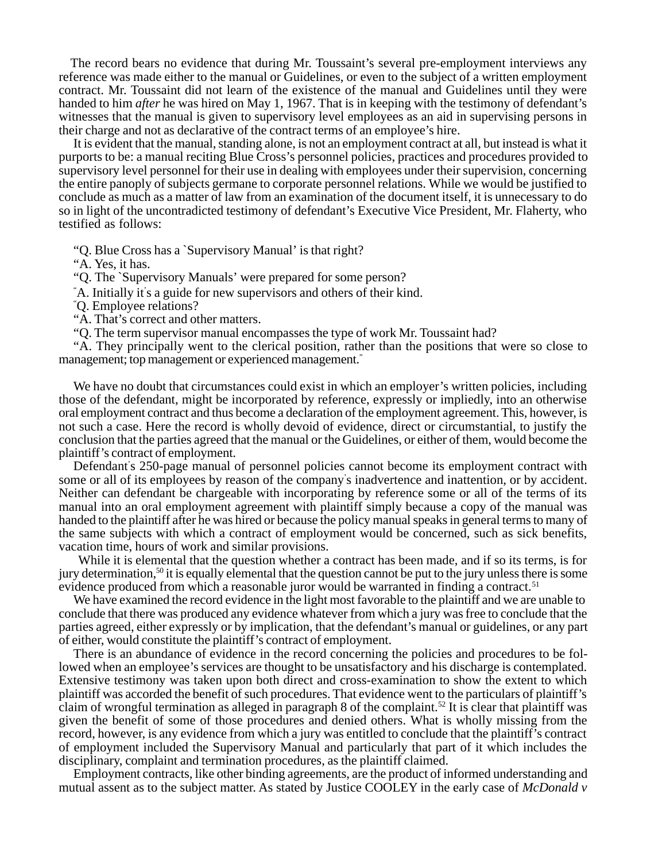The record bears no evidence that during Mr. Toussaint's several pre-employment interviews any reference was made either to the manual or Guidelines, or even to the subject of a written employment contract. Mr. Toussaint did not learn of the existence of the manual and Guidelines until they were handed to him *after* he was hired on May 1, 1967. That is in keeping with the testimony of defendant's witnesses that the manual is given to supervisory level employees as an aid in supervising persons in their charge and not as declarative of the contract terms of an employee's hire.

It is evident that the manual, standing alone, is not an employment contract at all, but instead is what it purports to be: a manual reciting Blue Cross's personnel policies, practices and procedures provided to supervisory level personnel for their use in dealing with employees under their supervision, concerning the entire panoply of subjects germane to corporate personnel relations. While we would be justified to conclude as much as a matter of law from an examination of the document itself, it is unnecessary to do so in light of the uncontradicted testimony of defendant's Executive Vice President, Mr. Flaherty, who testified as follows:

"Q. Blue Cross has a `Supervisory Manual' is that right?

"A. Yes, it has.

"Q. The `Supervisory Manuals' were prepared for some person?

" A. Initially it' s a guide for new supervisors and others of their kind.

" Q. Employee relations?

"A. That's correct and other matters.

"Q. The term supervisor manual encompasses the type of work Mr. Toussaint had?

"A. They principally went to the clerical position, rather than the positions that were so close to management; top management or experienced management."

We have no doubt that circumstances could exist in which an employer's written policies, including those of the defendant, might be incorporated by reference, expressly or impliedly, into an otherwise oral employment contract and thus become a declaration of the employment agreement. This, however, is not such a case. Here the record is wholly devoid of evidence, direct or circumstantial, to justify the conclusion that the parties agreed that the manual or the Guidelines, or either of them, would become the plaintiff's contract of employment.

Defendant' s 250-page manual of personnel policies cannot become its employment contract with some or all of its employees by reason of the company' s inadvertence and inattention, or by accident. Neither can defendant be chargeable with incorporating by reference some or all of the terms of its manual into an oral employment agreement with plaintiff simply because a copy of the manual was handed to the plaintiff after he was hired or because the policy manual speaks in general terms to many of the same subjects with which a contract of employment would be concerned, such as sick benefits, vacation time, hours of work and similar provisions.

While it is elemental that the question whether a contract has been made, and if so its terms, is for jury determination,<sup>50</sup> it is equally elemental that the question cannot be put to the jury unless there is some evidence produced from which a reasonable juror would be warranted in finding a contract.<sup>51</sup>

We have examined the record evidence in the light most favorable to the plaintiff and we are unable to conclude that there was produced any evidence whatever from which a jury was free to conclude that the parties agreed, either expressly or by implication, that the defendant's manual or guidelines, or any part of either, would constitute the plaintiff's contract of employment.

There is an abundance of evidence in the record concerning the policies and procedures to be followed when an employee's services are thought to be unsatisfactory and his discharge is contemplated. Extensive testimony was taken upon both direct and cross-examination to show the extent to which plaintiff was accorded the benefit of such procedures. That evidence went to the particulars of plaintiff's claim of wrongful termination as alleged in paragraph 8 of the complaint.52 It is clear that plaintiff was given the benefit of some of those procedures and denied others. What is wholly missing from the record, however, is any evidence from which a jury was entitled to conclude that the plaintiff's contract of employment included the Supervisory Manual and particularly that part of it which includes the disciplinary, complaint and termination procedures, as the plaintiff claimed.

Employment contracts, like other binding agreements, are the product of informed understanding and mutual assent as to the subject matter. As stated by Justice COOLEY in the early case of *McDonald v*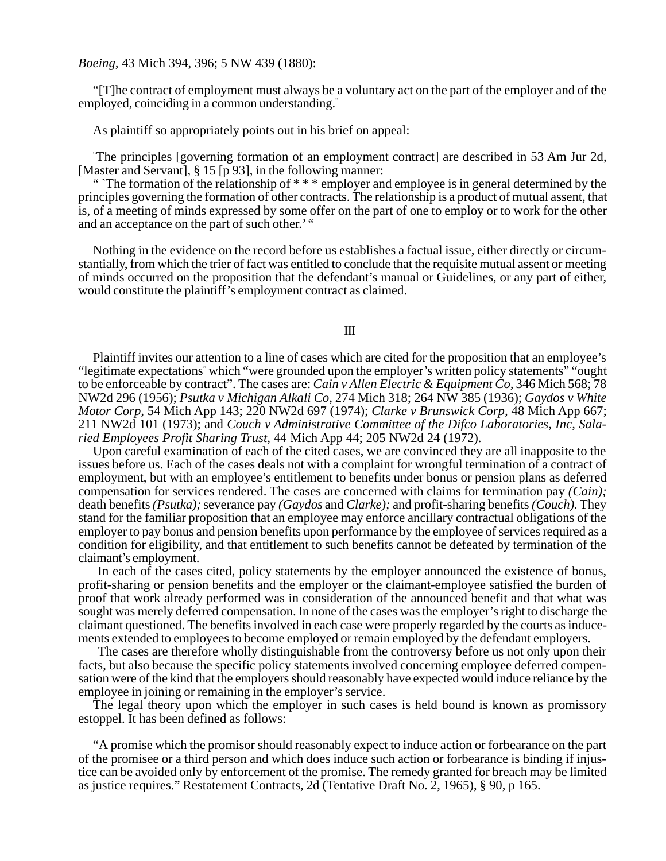### *Boeing,* 43 Mich 394, 396; 5 NW 439 (1880):

"[T]he contract of employment must always be a voluntary act on the part of the employer and of the employed, coinciding in a common understanding."

As plaintiff so appropriately points out in his brief on appeal:

" The principles [governing formation of an employment contract] are described in 53 Am Jur 2d, [Master and Servant], § 15 [p 93], in the following manner:

" The formation of the relationship of \*\*\* employer and employee is in general determined by the principles governing the formation of other contracts. The relationship is a product of mutual assent, that is, of a meeting of minds expressed by some offer on the part of one to employ or to work for the other and an acceptance on the part of such other.' "

Nothing in the evidence on the record before us establishes a factual issue, either directly or circumstantially, from which the trier of fact was entitled to conclude that the requisite mutual assent or meeting of minds occurred on the proposition that the defendant's manual or Guidelines, or any part of either, would constitute the plaintiff's employment contract as claimed.

## III

Plaintiff invites our attention to a line of cases which are cited for the proposition that an employee's "legitimate expectations" which "were grounded upon the employer's written policy statements" "ought to be enforceable by contract". The cases are: *Cain v Allen Electric & Equipment Co,* 346 Mich 568; 78 NW2d 296 (1956); *Psutka v Michigan Alkali Co,* 274 Mich 318; 264 NW 385 (1936); *Gaydos v White Motor Corp,* 54 Mich App 143; 220 NW2d 697 (1974); *Clarke v Brunswick Corp,* 48 Mich App 667; 211 NW2d 101 (1973); and *Couch v Administrative Committee of the Difco Laboratories, Inc, Salaried Employees Profit Sharing Trust,* 44 Mich App 44; 205 NW2d 24 (1972).

Upon careful examination of each of the cited cases, we are convinced they are all inapposite to the issues before us. Each of the cases deals not with a complaint for wrongful termination of a contract of employment, but with an employee's entitlement to benefits under bonus or pension plans as deferred compensation for services rendered. The cases are concerned with claims for termination pay *(Cain);* death benefits *(Psutka);* severance pay *(Gaydos* and *Clarke);* and profit-sharing benefits *(Couch).* They stand for the familiar proposition that an employee may enforce ancillary contractual obligations of the employer to pay bonus and pension benefits upon performance by the employee of services required as a condition for eligibility, and that entitlement to such benefits cannot be defeated by termination of the claimant's employment.

In each of the cases cited, policy statements by the employer announced the existence of bonus, profit-sharing or pension benefits and the employer or the claimant-employee satisfied the burden of proof that work already performed was in consideration of the announced benefit and that what was sought was merely deferred compensation. In none of the cases was the employer's right to discharge the claimant questioned. The benefits involved in each case were properly regarded by the courts as inducements extended to employees to become employed or remain employed by the defendant employers.

The cases are therefore wholly distinguishable from the controversy before us not only upon their facts, but also because the specific policy statements involved concerning employee deferred compensation were of the kind that the employers should reasonably have expected would induce reliance by the employee in joining or remaining in the employer's service.

The legal theory upon which the employer in such cases is held bound is known as promissory estoppel. It has been defined as follows:

"A promise which the promisor should reasonably expect to induce action or forbearance on the part of the promisee or a third person and which does induce such action or forbearance is binding if injustice can be avoided only by enforcement of the promise. The remedy granted for breach may be limited as justice requires." Restatement Contracts, 2d (Tentative Draft No. 2, 1965), § 90, p 165.